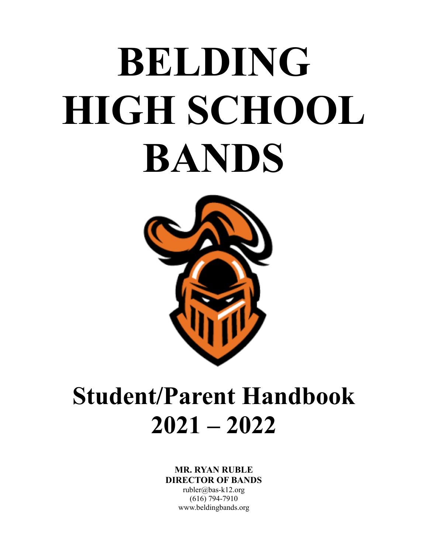# **BELDING HIGH SCHOOL BANDS**



# **Student/Parent Handbook 2021 – 2022**

#### **MR. RYAN RUBLE DIRECTOR OF BANDS**

rubler@bas-k12.org (616) 794-7910 www.beldingbands.org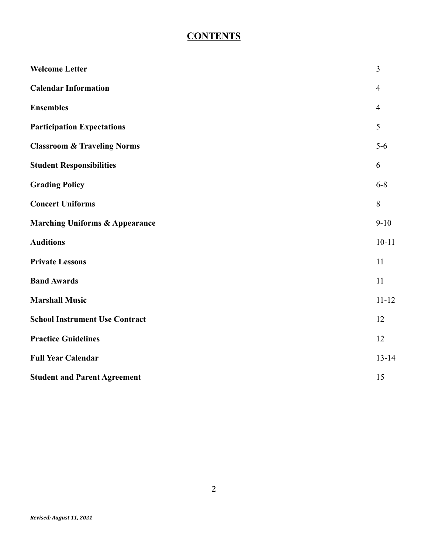# **CONTENTS**

| <b>Welcome Letter</b>                     | $\overline{3}$ |
|-------------------------------------------|----------------|
| <b>Calendar Information</b>               | $\overline{4}$ |
| <b>Ensembles</b>                          | $\overline{4}$ |
| <b>Participation Expectations</b>         | 5              |
| <b>Classroom &amp; Traveling Norms</b>    | $5-6$          |
| <b>Student Responsibilities</b>           | 6              |
| <b>Grading Policy</b>                     | $6 - 8$        |
| <b>Concert Uniforms</b>                   | 8              |
| <b>Marching Uniforms &amp; Appearance</b> | $9 - 10$       |
| <b>Auditions</b>                          | $10 - 11$      |
| <b>Private Lessons</b>                    | 11             |
| <b>Band Awards</b>                        | 11             |
| <b>Marshall Music</b>                     | $11 - 12$      |
| <b>School Instrument Use Contract</b>     | 12             |
| <b>Practice Guidelines</b>                | 12             |
| <b>Full Year Calendar</b>                 | $13 - 14$      |
| <b>Student and Parent Agreement</b>       | 15             |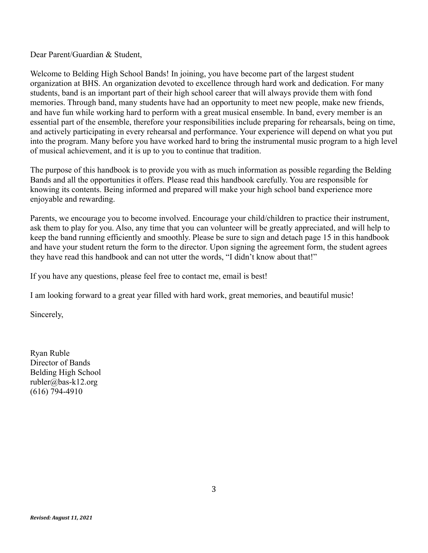Dear Parent/Guardian & Student,

Welcome to Belding High School Bands! In joining, you have become part of the largest student organization at BHS. An organization devoted to excellence through hard work and dedication. For many students, band is an important part of their high school career that will always provide them with fond memories. Through band, many students have had an opportunity to meet new people, make new friends, and have fun while working hard to perform with a great musical ensemble. In band, every member is an essential part of the ensemble, therefore your responsibilities include preparing for rehearsals, being on time, and actively participating in every rehearsal and performance. Your experience will depend on what you put into the program. Many before you have worked hard to bring the instrumental music program to a high level of musical achievement, and it is up to you to continue that tradition.

The purpose of this handbook is to provide you with as much information as possible regarding the Belding Bands and all the opportunities it offers. Please read this handbook carefully. You are responsible for knowing its contents. Being informed and prepared will make your high school band experience more enjoyable and rewarding.

Parents, we encourage you to become involved. Encourage your child/children to practice their instrument, ask them to play for you. Also, any time that you can volunteer will be greatly appreciated, and will help to keep the band running efficiently and smoothly. Please be sure to sign and detach page 15 in this handbook and have your student return the form to the director. Upon signing the agreement form, the student agrees they have read this handbook and can not utter the words, "I didn't know about that!"

If you have any questions, please feel free to contact me, email is best!

I am looking forward to a great year filled with hard work, great memories, and beautiful music!

Sincerely,

Ryan Ruble Director of Bands Belding High School rubler@bas-k12.org (616) 794-4910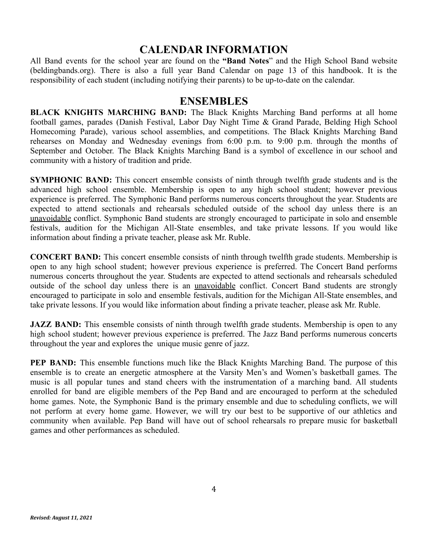#### **CALENDAR INFORMATION**

All Band events for the school year are found on the **"Band Notes**" and the High School Band website (beldingbands.org). There is also a full year Band Calendar on page 13 of this handbook. It is the responsibility of each student (including notifying their parents) to be up-to-date on the calendar.

#### **ENSEMBLES**

**BLACK KNIGHTS MARCHING BAND:** The Black Knights Marching Band performs at all home football games, parades (Danish Festival, Labor Day Night Time & Grand Parade, Belding High School Homecoming Parade), various school assemblies, and competitions. The Black Knights Marching Band rehearses on Monday and Wednesday evenings from 6:00 p.m. to 9:00 p.m. through the months of September and October. The Black Knights Marching Band is a symbol of excellence in our school and community with a history of tradition and pride.

**SYMPHONIC BAND:** This concert ensemble consists of ninth through twelfth grade students and is the advanced high school ensemble. Membership is open to any high school student; however previous experience is preferred. The Symphonic Band performs numerous concerts throughout the year. Students are expected to attend sectionals and rehearsals scheduled outside of the school day unless there is an unavoidable conflict. Symphonic Band students are strongly encouraged to participate in solo and ensemble festivals, audition for the Michigan All-State ensembles, and take private lessons. If you would like information about finding a private teacher, please ask Mr. Ruble.

**CONCERT BAND:** This concert ensemble consists of ninth through twelfth grade students. Membership is open to any high school student; however previous experience is preferred. The Concert Band performs numerous concerts throughout the year. Students are expected to attend sectionals and rehearsals scheduled outside of the school day unless there is an unavoidable conflict. Concert Band students are strongly encouraged to participate in solo and ensemble festivals, audition for the Michigan All-State ensembles, and take private lessons. If you would like information about finding a private teacher, please ask Mr. Ruble.

**JAZZ BAND:** This ensemble consists of ninth through twelfth grade students. Membership is open to any high school student; however previous experience is preferred. The Jazz Band performs numerous concerts throughout the year and explores the unique music genre of jazz.

**PEP BAND:** This ensemble functions much like the Black Knights Marching Band. The purpose of this ensemble is to create an energetic atmosphere at the Varsity Men's and Women's basketball games. The music is all popular tunes and stand cheers with the instrumentation of a marching band. All students enrolled for band are eligible members of the Pep Band and are encouraged to perform at the scheduled home games. Note, the Symphonic Band is the primary ensemble and due to scheduling conflicts, we will not perform at every home game. However, we will try our best to be supportive of our athletics and community when available. Pep Band will have out of school rehearsals ro prepare music for basketball games and other performances as scheduled.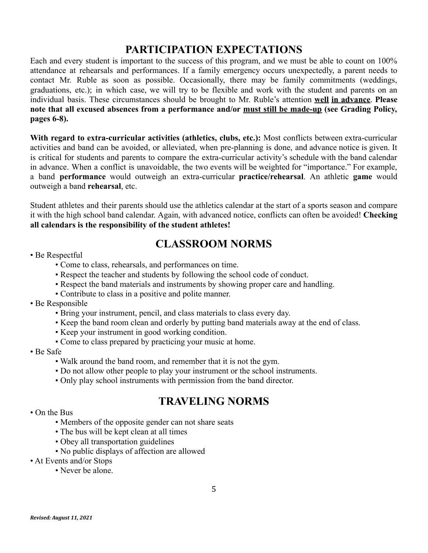# **PARTICIPATION EXPECTATIONS**

Each and every student is important to the success of this program, and we must be able to count on 100% attendance at rehearsals and performances. If a family emergency occurs unexpectedly, a parent needs to contact Mr. Ruble as soon as possible. Occasionally, there may be family commitments (weddings, graduations, etc.); in which case, we will try to be flexible and work with the student and parents on an individual basis. These circumstances should be brought to Mr. Ruble's attention **well in advance**. **Please note that all excused absences from a performance and/or must still be made-up (see Grading Policy, pages 6-8).**

**With regard to extra-curricular activities (athletics, clubs, etc.):** Most conflicts between extra-curricular activities and band can be avoided, or alleviated, when pre-planning is done, and advance notice is given. It is critical for students and parents to compare the extra-curricular activity's schedule with the band calendar in advance. When a conflict is unavoidable, the two events will be weighted for "importance." For example, a band **performance** would outweigh an extra-curricular **practice/rehearsal**. An athletic **game** would outweigh a band **rehearsal**, etc.

Student athletes and their parents should use the athletics calendar at the start of a sports season and compare it with the high school band calendar. Again, with advanced notice, conflicts can often be avoided! **Checking all calendars is the responsibility of the student athletes!**

# **CLASSROOM NORMS**

- Be Respectful
	- Come to class, rehearsals, and performances on time.
	- Respect the teacher and students by following the school code of conduct.
	- Respect the band materials and instruments by showing proper care and handling.
	- Contribute to class in a positive and polite manner.
- Be Responsible
	- Bring your instrument, pencil, and class materials to class every day.
	- Keep the band room clean and orderly by putting band materials away at the end of class.
	- Keep your instrument in good working condition.
	- Come to class prepared by practicing your music at home.
- Be Safe
	- Walk around the band room, and remember that it is not the gym.
	- Do not allow other people to play your instrument or the school instruments.
	- Only play school instruments with permission from the band director.

# **TRAVELING NORMS**

- On the Bus
	- Members of the opposite gender can not share seats
	- The bus will be kept clean at all times
	- Obey all transportation guidelines
	- No public displays of affection are allowed
- At Events and/or Stops
	- Never be alone.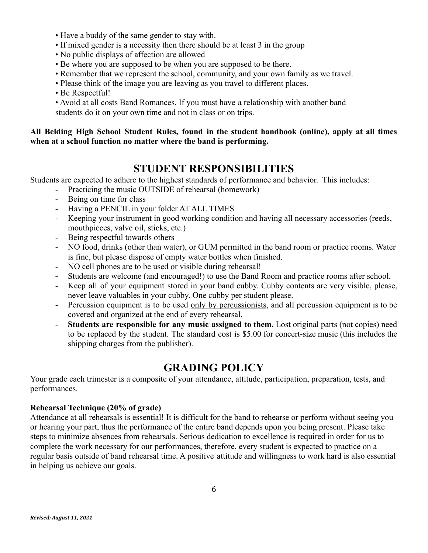- Have a buddy of the same gender to stay with.
- If mixed gender is a necessity then there should be at least 3 in the group
- No public displays of affection are allowed
- Be where you are supposed to be when you are supposed to be there.
- Remember that we represent the school, community, and your own family as we travel.
- Please think of the image you are leaving as you travel to different places.
- Be Respectful!

• Avoid at all costs Band Romances. If you must have a relationship with another band students do it on your own time and not in class or on trips.

#### **All Belding High School Student Rules, found in the student handbook (online), apply at all times when at a school function no matter where the band is performing.**

#### **STUDENT RESPONSIBILITIES**

Students are expected to adhere to the highest standards of performance and behavior. This includes:

- Practicing the music OUTSIDE of rehearsal (homework)
- Being on time for class
- Having a PENCIL in your folder AT ALL TIMES
- Keeping your instrument in good working condition and having all necessary accessories (reeds, mouthpieces, valve oil, sticks, etc.)
- Being respectful towards others
- NO food, drinks (other than water), or GUM permitted in the band room or practice rooms. Water is fine, but please dispose of empty water bottles when finished.
- NO cell phones are to be used or visible during rehearsal!
- **-** Students are welcome (and encouraged!) to use the Band Room and practice rooms after school.
- Keep all of your equipment stored in your band cubby. Cubby contents are very visible, please, never leave valuables in your cubby. One cubby per student please.
- Percussion equipment is to be used only by percussionists, and all percussion equipment is to be covered and organized at the end of every rehearsal.
- **Students are responsible for any music assigned to them.** Lost original parts (not copies) need to be replaced by the student. The standard cost is \$5.00 for concert-size music (this includes the shipping charges from the publisher).

#### **GRADING POLICY**

Your grade each trimester is a composite of your attendance, attitude, participation, preparation, tests, and performances.

#### **Rehearsal Technique (20% of grade)**

Attendance at all rehearsals is essential! It is difficult for the band to rehearse or perform without seeing you or hearing your part, thus the performance of the entire band depends upon you being present. Please take steps to minimize absences from rehearsals. Serious dedication to excellence is required in order for us to complete the work necessary for our performances, therefore, every student is expected to practice on a regular basis outside of band rehearsal time. A positive attitude and willingness to work hard is also essential in helping us achieve our goals.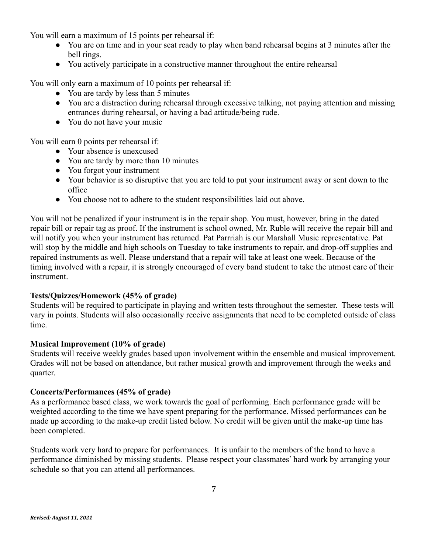You will earn a maximum of 15 points per rehearsal if:

- You are on time and in your seat ready to play when band rehearsal begins at 3 minutes after the bell rings.
- You actively participate in a constructive manner throughout the entire rehearsal

You will only earn a maximum of 10 points per rehearsal if:

- You are tardy by less than 5 minutes
- You are a distraction during rehearsal through excessive talking, not paying attention and missing entrances during rehearsal, or having a bad attitude/being rude.
- You do not have your music

You will earn 0 points per rehearsal if:

- Your absence is unexcused
- You are tardy by more than 10 minutes
- You forgot your instrument
- Your behavior is so disruptive that you are told to put your instrument away or sent down to the office
- You choose not to adhere to the student responsibilities laid out above.

You will not be penalized if your instrument is in the repair shop. You must, however, bring in the dated repair bill or repair tag as proof. If the instrument is school owned, Mr. Ruble will receive the repair bill and will notify you when your instrument has returned. Pat Parrriah is our Marshall Music representative. Pat will stop by the middle and high schools on Tuesday to take instruments to repair, and drop-off supplies and repaired instruments as well. Please understand that a repair will take at least one week. Because of the timing involved with a repair, it is strongly encouraged of every band student to take the utmost care of their instrument.

#### **Tests/Quizzes/Homework (45% of grade)**

Students will be required to participate in playing and written tests throughout the semester. These tests will vary in points. Students will also occasionally receive assignments that need to be completed outside of class time.

#### **Musical Improvement (10% of grade)**

Students will receive weekly grades based upon involvement within the ensemble and musical improvement. Grades will not be based on attendance, but rather musical growth and improvement through the weeks and quarter.

#### **Concerts/Performances (45% of grade)**

As a performance based class, we work towards the goal of performing. Each performance grade will be weighted according to the time we have spent preparing for the performance. Missed performances can be made up according to the make-up credit listed below. No credit will be given until the make-up time has been completed.

Students work very hard to prepare for performances. It is unfair to the members of the band to have a performance diminished by missing students. Please respect your classmates' hard work by arranging your schedule so that you can attend all performances.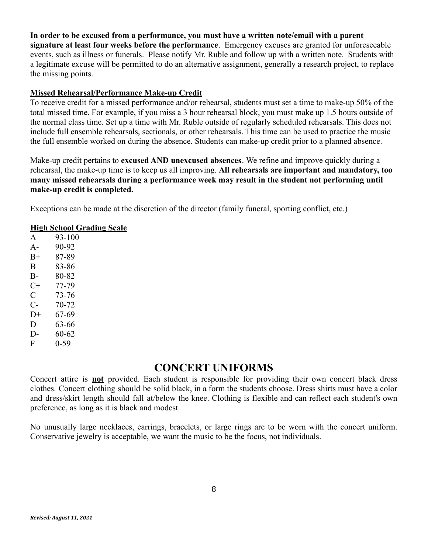**In order to be excused from a performance, you must have a written note/email with a parent signature at least four weeks before the performance**. Emergency excuses are granted for unforeseeable events, such as illness or funerals. Please notify Mr. Ruble and follow up with a written note. Students with a legitimate excuse will be permitted to do an alternative assignment, generally a research project, to replace the missing points.

#### **Missed Rehearsal/Performance Make-up Credit**

To receive credit for a missed performance and/or rehearsal, students must set a time to make-up 50% of the total missed time. For example, if you miss a 3 hour rehearsal block, you must make up 1.5 hours outside of the normal class time. Set up a time with Mr. Ruble outside of regularly scheduled rehearsals. This does not include full ensemble rehearsals, sectionals, or other rehearsals. This time can be used to practice the music the full ensemble worked on during the absence. Students can make-up credit prior to a planned absence.

Make-up credit pertains to **excused AND unexcused absences**. We refine and improve quickly during a rehearsal, the make-up time is to keep us all improving. **All rehearsals are important and mandatory, too many missed rehearsals during a performance week may result in the student not performing until make-up credit is completed.**

Exceptions can be made at the discretion of the director (family funeral, sporting conflict, etc.)

#### **High School Grading Scale**

A 93-100 A- 90-92 B+ 87-89 B 83-86 B- 80-82 C+ 77-79 C 73-76 C- 70-72  $D+ 67-69$ D 63-66 D- 60-62 F 0-59

#### **CONCERT UNIFORMS**

Concert attire is **not** provided. Each student is responsible for providing their own concert black dress clothes. Concert clothing should be solid black, in a form the students choose. Dress shirts must have a color and dress/skirt length should fall at/below the knee. Clothing is flexible and can reflect each student's own preference, as long as it is black and modest.

No unusually large necklaces, earrings, bracelets, or large rings are to be worn with the concert uniform. Conservative jewelry is acceptable, we want the music to be the focus, not individuals.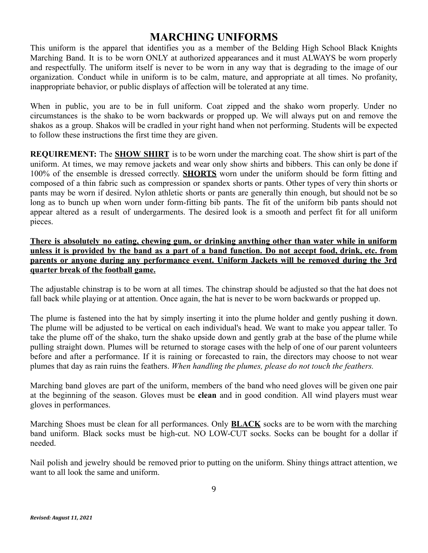# **MARCHING UNIFORMS**

This uniform is the apparel that identifies you as a member of the Belding High School Black Knights Marching Band. It is to be worn ONLY at authorized appearances and it must ALWAYS be worn properly and respectfully. The uniform itself is never to be worn in any way that is degrading to the image of our organization. Conduct while in uniform is to be calm, mature, and appropriate at all times. No profanity, inappropriate behavior, or public displays of affection will be tolerated at any time.

When in public, you are to be in full uniform. Coat zipped and the shako worn properly. Under no circumstances is the shako to be worn backwards or propped up. We will always put on and remove the shakos as a group. Shakos will be cradled in your right hand when not performing. Students will be expected to follow these instructions the first time they are given.

**REQUIREMENT:** The **SHOW SHIRT** is to be worn under the marching coat. The show shirt is part of the uniform. At times, we may remove jackets and wear only show shirts and bibbers. This can only be done if 100% of the ensemble is dressed correctly. **SHORTS** worn under the uniform should be form fitting and composed of a thin fabric such as compression or spandex shorts or pants. Other types of very thin shorts or pants may be worn if desired. Nylon athletic shorts or pants are generally thin enough, but should not be so long as to bunch up when worn under form-fitting bib pants. The fit of the uniform bib pants should not appear altered as a result of undergarments. The desired look is a smooth and perfect fit for all uniform pieces.

**There is absolutely no eating, chewing gum, or drinking anything other than water while in uniform** unless it is provided by the band as a part of a band function. Do not accept food, drink, etc. from **parents or anyone during any performance event. Uniform Jackets will be removed during the 3rd quarter break of the football game.**

The adjustable chinstrap is to be worn at all times. The chinstrap should be adjusted so that the hat does not fall back while playing or at attention. Once again, the hat is never to be worn backwards or propped up.

The plume is fastened into the hat by simply inserting it into the plume holder and gently pushing it down. The plume will be adjusted to be vertical on each individual's head. We want to make you appear taller. To take the plume off of the shako, turn the shako upside down and gently grab at the base of the plume while pulling straight down. Plumes will be returned to storage cases with the help of one of our parent volunteers before and after a performance. If it is raining or forecasted to rain, the directors may choose to not wear plumes that day as rain ruins the feathers. *When handling the plumes, please do not touch the feathers.*

Marching band gloves are part of the uniform, members of the band who need gloves will be given one pair at the beginning of the season. Gloves must be **clean** and in good condition. All wind players must wear gloves in performances.

Marching Shoes must be clean for all performances. Only **BLACK** socks are to be worn with the marching band uniform. Black socks must be high-cut. NO LOW-CUT socks. Socks can be bought for a dollar if needed.

Nail polish and jewelry should be removed prior to putting on the uniform. Shiny things attract attention, we want to all look the same and uniform.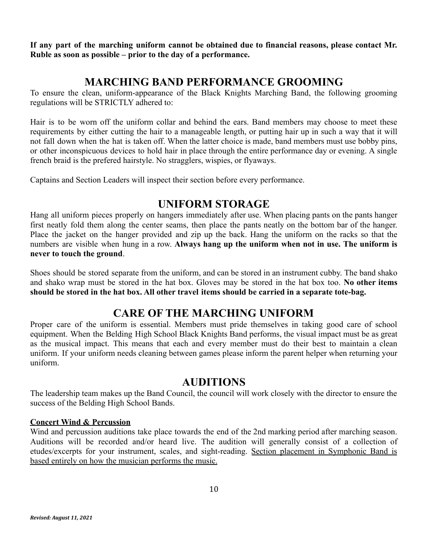**If any part of the marching uniform cannot be obtained due to financial reasons, please contact Mr. Ruble as soon as possible – prior to the day of a performance.**

# **MARCHING BAND PERFORMANCE GROOMING**

To ensure the clean, uniform-appearance of the Black Knights Marching Band, the following grooming regulations will be STRICTLY adhered to:

Hair is to be worn off the uniform collar and behind the ears. Band members may choose to meet these requirements by either cutting the hair to a manageable length, or putting hair up in such a way that it will not fall down when the hat is taken off. When the latter choice is made, band members must use bobby pins, or other inconspicuous devices to hold hair in place through the entire performance day or evening. A single french braid is the prefered hairstyle. No stragglers, wispies, or flyaways.

Captains and Section Leaders will inspect their section before every performance.

# **UNIFORM STORAGE**

Hang all uniform pieces properly on hangers immediately after use. When placing pants on the pants hanger first neatly fold them along the center seams, then place the pants neatly on the bottom bar of the hanger. Place the jacket on the hanger provided and zip up the back. Hang the uniform on the racks so that the numbers are visible when hung in a row. **Always hang up the uniform when not in use. The uniform is never to touch the ground**.

Shoes should be stored separate from the uniform, and can be stored in an instrument cubby. The band shako and shako wrap must be stored in the hat box. Gloves may be stored in the hat box too. **No other items should be stored in the hat box. All other travel items should be carried in a separate tote-bag.**

# **CARE OF THE MARCHING UNIFORM**

Proper care of the uniform is essential. Members must pride themselves in taking good care of school equipment. When the Belding High School Black Knights Band performs, the visual impact must be as great as the musical impact. This means that each and every member must do their best to maintain a clean uniform. If your uniform needs cleaning between games please inform the parent helper when returning your uniform.

### **AUDITIONS**

The leadership team makes up the Band Council, the council will work closely with the director to ensure the success of the Belding High School Bands.

#### **Concert Wind & Percussion**

Wind and percussion auditions take place towards the end of the 2nd marking period after marching season. Auditions will be recorded and/or heard live. The audition will generally consist of a collection of etudes/excerpts for your instrument, scales, and sight-reading. Section placement in Symphonic Band is based entirely on how the musician performs the music.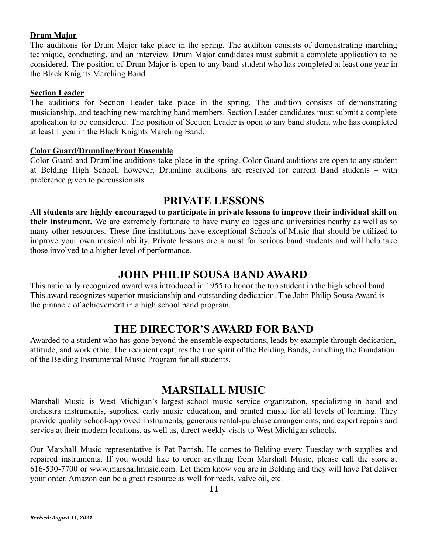#### **Drum Major**

The auditions for Drum Major take place in the spring. The audition consists of demonstrating marching technique, conducting, and an interview. Drum Major candidates must submit a complete application to be considered. The position of Drum Major is open to any band student who has completed at least one year in the Black Knights Marching Band.

#### **Section Leader**

The auditions for Section Leader take place in the spring. The audition consists of demonstrating musicianship, and teaching new marching band members. Section Leader candidates must submit a complete application to be considered. The position of Section Leader is open to any band student who has completed at least 1 year in the Black Knights Marching Band.

#### **Color Guard/Drumline/Front Ensemble**

Color Guard and Drumline auditions take place in the spring. Color Guard auditions are open to any student at Belding High School, however, Drumline auditions are reserved for current Band students – with preference given to percussionists.

#### **PRIVATE LESSONS**

**All students are highly encouraged to participate in private lessons to improve their individual skill on their instrument.** We are extremely fortunate to have many colleges and universities nearby as well as so many other resources. These fine institutions have exceptional Schools of Music that should be utilized to improve your own musical ability. Private lessons are a must for serious band students and will help take those involved to a higher level of performance.

#### **JOHN PHILIP SOUSA BAND AWARD**

This nationally recognized award was introduced in 1955 to honor the top student in the high school band. This award recognizes superior musicianship and outstanding dedication. The John Philip Sousa Award is the pinnacle of achievement in a high school band program.

#### **THE DIRECTOR'S AWARD FOR BAND**

Awarded to a student who has gone beyond the ensemble expectations; leads by example through dedication, attitude, and work ethic. The recipient captures the true spirit of the Belding Bands, enriching the foundation of the Belding Instrumental Music Program for all students.

#### **MARSHALL MUSIC**

Marshall Music is West Michigan's largest school music service organization, specializing in band and orchestra instruments, supplies, early music education, and printed music for all levels of learning. They provide quality school-approved instruments, generous rental-purchase arrangements, and expert repairs and service at their modern locations, as well as, direct weekly visits to West Michigan schools.

Our Marshall Music representative is Pat Parrish. He comes to Belding every Tuesday with supplies and repaired instruments. If you would like to order anything from Marshall Music, please call the store at 616-530-7700 or www.marshallmusic.com. Let them know you are in Belding and they will have Pat deliver your order. Amazon can be a great resource as well for reeds, valve oil, etc.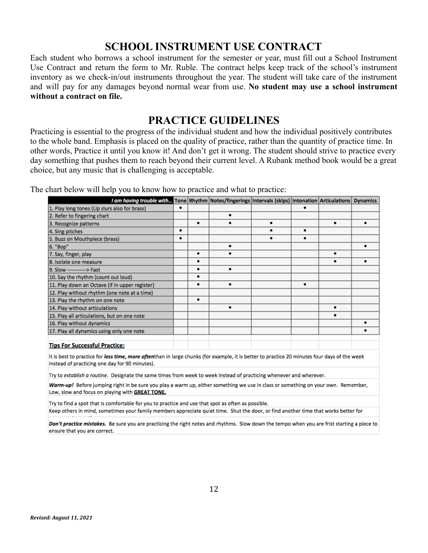#### **SCHOOL INSTRUMENT USE CONTRACT**

Each student who borrows a school instrument for the semester or year, must fill out a School Instrument Use Contract and return the form to Mr. Ruble. The contract helps keep track of the school's instrument inventory as we check-in/out instruments throughout the year. The student will take care of the instrument and will pay for any damages beyond normal wear from use. **No student may use a school instrument without a contract on file.**

#### **PRACTICE GUIDELINES**

Practicing is essential to the progress of the individual student and how the individual positively contributes to the whole band. Emphasis is placed on the quality of practice, rather than the quantity of practice time. In other words, Practice it until you know it! And don't get it wrong. The student should strive to practice every day something that pushes them to reach beyond their current level. A Rubank method book would be a great choice, but any music that is challenging is acceptable.

The chart below will help you to know how to practice and what to practice:

| I am having trouble with Tone Rhythm Notes/fingerings Intervals (skips) Intonation Articulations Dynamics |   |   |  |  |  |
|-----------------------------------------------------------------------------------------------------------|---|---|--|--|--|
| 1. Play long tones (Lip slurs also for brass)                                                             | ۰ |   |  |  |  |
| 2. Refer to fingering chart                                                                               |   |   |  |  |  |
| 3. Recognize patterns                                                                                     |   | ٠ |  |  |  |
| 4. Sing pitches                                                                                           | ٠ |   |  |  |  |
| 5. Buzz on Mouthpiece (brass)                                                                             | ٠ |   |  |  |  |
| 6. "Bop"                                                                                                  |   |   |  |  |  |
| 7. Say, finger, play                                                                                      |   | ۰ |  |  |  |
| 8. Isolate one measure                                                                                    |   | ۰ |  |  |  |
| 9. Slow ------------> Fast                                                                                |   | ۰ |  |  |  |
| 10. Say the rhythm (count out loud)                                                                       |   |   |  |  |  |
| 11. Play down an Octave (if in upper register)                                                            |   | ٠ |  |  |  |
| 12. Play without rhythm (one note at a time)                                                              |   |   |  |  |  |
| 13. Play the rhythm on one note                                                                           |   | ۰ |  |  |  |
| 14. Play without articulations                                                                            |   |   |  |  |  |
| 15. Play all articulations, but on one note                                                               |   |   |  |  |  |
| 16. Play without dynamics                                                                                 |   |   |  |  |  |
| 17. Play all dynamics using only one note                                                                 |   |   |  |  |  |
|                                                                                                           |   |   |  |  |  |
| Tine For Succeeful Dractice:                                                                              |   |   |  |  |  |

It is best to practice for less time, more oftenthan in large chunks (for example, it is better to practice 20 minutes four days of the week instead of practicing one day for 90 minutes).

Try to establish a routine. Designate the same times from week to week instead of practicing whenever and wherever.

Warm-up! Before jumping right in be sure you play a warm up, either something we use in class or something on your own. Remember, Low, slow and focus on playing with GREAT TONE.

Try to find a spot that is comfortable for you to practice and use that spot as often as possible.

Keep others in mind, sometimes your family members appreciate quiet time. Shut the door, or find another time that works better for

Don't practice mistakes. Be sure you are practicing the right notes and rhythms. Slow down the tempo when you are frist starting a piece to ensure that you are correct.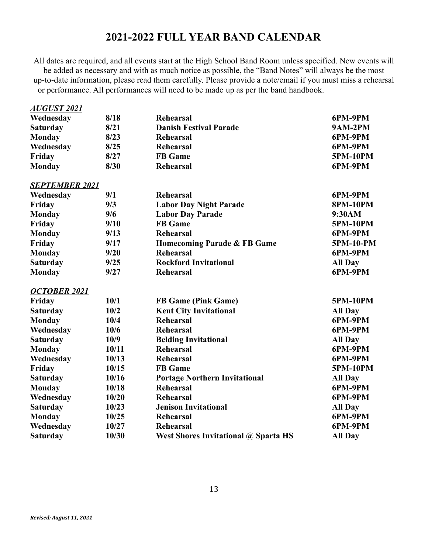# **2021-2022 FULL YEAR BAND CALENDAR**

All dates are required, and all events start at the High School Band Room unless specified. New events will be added as necessary and with as much notice as possible, the "Band Notes" will always be the most up-to-date information, please read them carefully. Please provide a note/email if you must miss a rehearsal or performance. All performances will need to be made up as per the band handbook.

| <b>AUGUST 2021</b>    |       |                                             |                 |
|-----------------------|-------|---------------------------------------------|-----------------|
| Wednesday             | 8/18  | <b>Rehearsal</b>                            | 6PM-9PM         |
| <b>Saturday</b>       | 8/21  | <b>Danish Festival Parade</b>               | <b>9AM-2PM</b>  |
| <b>Monday</b>         | 8/23  | <b>Rehearsal</b>                            | 6PM-9PM         |
| Wednesday             | 8/25  | <b>Rehearsal</b>                            | 6PM-9PM         |
| Friday                | 8/27  | <b>FB</b> Game                              | <b>5PM-10PM</b> |
| <b>Monday</b>         | 8/30  | <b>Rehearsal</b>                            | 6PM-9PM         |
| <b>SEPTEMBER 2021</b> |       |                                             |                 |
| Wednesday             | 9/1   | <b>Rehearsal</b>                            | 6PM-9PM         |
| Friday                | 9/3   | <b>Labor Day Night Parade</b>               | <b>8PM-10PM</b> |
| <b>Monday</b>         | 9/6   | <b>Labor Day Parade</b>                     | 9:30AM          |
| Friday                | 9/10  | <b>FB</b> Game                              | <b>5PM-10PM</b> |
| <b>Monday</b>         | 9/13  | <b>Rehearsal</b>                            | 6PM-9PM         |
| Friday                | 9/17  | Homecoming Parade & FB Game                 | 5PM-10-PM       |
| <b>Monday</b>         | 9/20  | <b>Rehearsal</b>                            | 6PM-9PM         |
| <b>Saturday</b>       | 9/25  | <b>Rockford Invitational</b>                | <b>All Day</b>  |
| <b>Monday</b>         | 9/27  | <b>Rehearsal</b>                            | 6PM-9PM         |
| <b>OCTOBER 2021</b>   |       |                                             |                 |
| Friday                | 10/1  | <b>FB Game (Pink Game)</b>                  | 5PM-10PM        |
| <b>Saturday</b>       | 10/2  | <b>Kent City Invitational</b>               | <b>All Day</b>  |
| <b>Monday</b>         | 10/4  | <b>Rehearsal</b>                            | 6PM-9PM         |
| Wednesday             | 10/6  | Rehearsal                                   | 6PM-9PM         |
| <b>Saturday</b>       | 10/9  | <b>Belding Invitational</b>                 | <b>All Day</b>  |
| <b>Monday</b>         | 10/11 | <b>Rehearsal</b>                            | 6PM-9PM         |
| Wednesday             | 10/13 | <b>Rehearsal</b>                            | 6PM-9PM         |
| Friday                | 10/15 | <b>FB</b> Game                              | 5PM-10PM        |
| <b>Saturday</b>       | 10/16 | <b>Portage Northern Invitational</b>        | <b>All Day</b>  |
| <b>Monday</b>         | 10/18 | <b>Rehearsal</b>                            | 6PM-9PM         |
| Wednesday             | 10/20 | Rehearsal                                   | 6PM-9PM         |
| <b>Saturday</b>       | 10/23 | <b>Jenison Invitational</b>                 | <b>All Day</b>  |
| <b>Monday</b>         | 10/25 | Rehearsal                                   | 6PM-9PM         |
| Wednesday             | 10/27 | <b>Rehearsal</b>                            | 6PM-9PM         |
| <b>Saturday</b>       | 10/30 | <b>West Shores Invitational @ Sparta HS</b> | <b>All Day</b>  |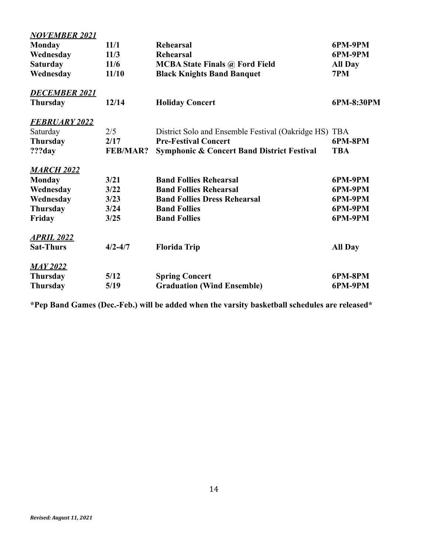| <b>NOVEMBER 2021</b> |                 |                                                       |                |
|----------------------|-----------------|-------------------------------------------------------|----------------|
| <b>Monday</b>        | 11/1            | <b>Rehearsal</b>                                      | 6PM-9PM        |
| Wednesday            | 11/3            | <b>Rehearsal</b>                                      | 6PM-9PM        |
| <b>Saturday</b>      | 11/6            | <b>MCBA State Finals @ Ford Field</b>                 | <b>All Day</b> |
| Wednesday            | 11/10           | <b>Black Knights Band Banquet</b>                     | 7PM            |
| <b>DECEMBER 2021</b> |                 |                                                       |                |
| <b>Thursday</b>      | 12/14           | <b>Holiday Concert</b>                                | 6PM-8:30PM     |
| <b>FEBRUARY 2022</b> |                 |                                                       |                |
| Saturday             | 2/5             | District Solo and Ensemble Festival (Oakridge HS) TBA |                |
| <b>Thursday</b>      | 2/17            | <b>Pre-Festival Concert</b>                           | 6PM-8PM        |
| ???day               | <b>FEB/MAR?</b> | <b>Symphonic &amp; Concert Band District Festival</b> | <b>TBA</b>     |
| <b>MARCH 2022</b>    |                 |                                                       |                |
| <b>Monday</b>        | 3/21            | <b>Band Follies Rehearsal</b>                         | 6PM-9PM        |
| Wednesday            | 3/22            | <b>Band Follies Rehearsal</b>                         | 6PM-9PM        |
| Wednesday            | 3/23            | <b>Band Follies Dress Rehearsal</b>                   | 6PM-9PM        |
| <b>Thursday</b>      | 3/24            | <b>Band Follies</b>                                   | 6PM-9PM        |
| Friday               | 3/25            | <b>Band Follies</b>                                   | 6PM-9PM        |
| <u>APRIL 2022</u>    |                 |                                                       |                |
| <b>Sat-Thurs</b>     | $4/2 - 4/7$     | <b>Florida Trip</b>                                   | <b>All Day</b> |
| <u>MAY 2022</u>      |                 |                                                       |                |
| <b>Thursday</b>      | 5/12            | <b>Spring Concert</b>                                 | 6PM-8PM        |
| <b>Thursday</b>      | 5/19            | <b>Graduation (Wind Ensemble)</b>                     | 6PM-9PM        |

**\*Pep Band Games (Dec.-Feb.) will be added when the varsity basketball schedules are released\***